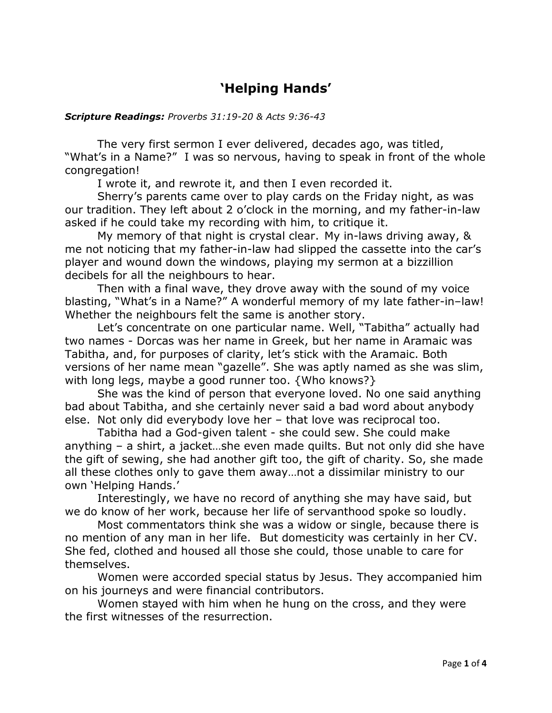## **'Helping Hands'**

## *Scripture Readings: Proverbs 31:19-20 & Acts 9:36-43*

The very first sermon I ever delivered, decades ago, was titled, "What's in a Name?" I was so nervous, having to speak in front of the whole congregation!

I wrote it, and rewrote it, and then I even recorded it.

Sherry's parents came over to play cards on the Friday night, as was our tradition. They left about 2 o'clock in the morning, and my father-in-law asked if he could take my recording with him, to critique it.

My memory of that night is crystal clear. My in-laws driving away, & me not noticing that my father-in-law had slipped the cassette into the car's player and wound down the windows, playing my sermon at a bizzillion decibels for all the neighbours to hear.

Then with a final wave, they drove away with the sound of my voice blasting, "What's in a Name?" A wonderful memory of my late father-in–law! Whether the neighbours felt the same is another story.

Let's concentrate on one particular name. Well, "Tabitha" actually had two names - Dorcas was her name in Greek, but her name in Aramaic was Tabitha, and, for purposes of clarity, let's stick with the Aramaic. Both versions of her name mean "gazelle". She was aptly named as she was slim, with long legs, maybe a good runner too. {Who knows?}

She was the kind of person that everyone loved. No one said anything bad about Tabitha, and she certainly never said a bad word about anybody else. Not only did everybody love her – that love was reciprocal too.

Tabitha had a God-given talent - she could sew. She could make anything – a shirt, a jacket…she even made quilts. But not only did she have the gift of sewing, she had another gift too, the gift of charity. So, she made all these clothes only to gave them away…not a dissimilar ministry to our own 'Helping Hands.'

Interestingly, we have no record of anything she may have said, but we do know of her work, because her life of servanthood spoke so loudly.

Most commentators think she was a widow or single, because there is no mention of any man in her life. But domesticity was certainly in her CV. She fed, clothed and housed all those she could, those unable to care for themselves.

Women were accorded special status by Jesus. They accompanied him on his journeys and were financial contributors.

Women stayed with him when he hung on the cross, and they were the first witnesses of the resurrection.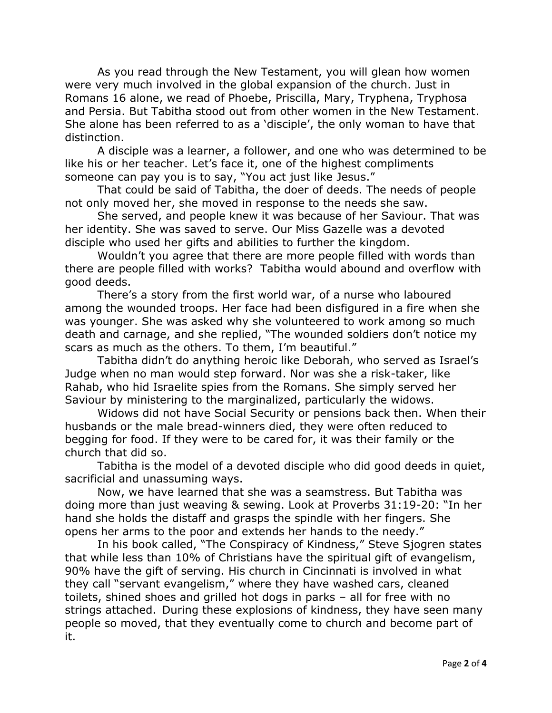As you read through the New Testament, you will glean how women were very much involved in the global expansion of the church. Just in Romans 16 alone, we read of Phoebe, Priscilla, Mary, Tryphena, Tryphosa and Persia. But Tabitha stood out from other women in the New Testament. She alone has been referred to as a 'disciple', the only woman to have that distinction.

A disciple was a learner, a follower, and one who was determined to be like his or her teacher. Let's face it, one of the highest compliments someone can pay you is to say, "You act just like Jesus."

That could be said of Tabitha, the doer of deeds. The needs of people not only moved her, she moved in response to the needs she saw.

She served, and people knew it was because of her Saviour. That was her identity. She was saved to serve. Our Miss Gazelle was a devoted disciple who used her gifts and abilities to further the kingdom.

Wouldn't you agree that there are more people filled with words than there are people filled with works? Tabitha would abound and overflow with good deeds.

There's a story from the first world war, of a nurse who laboured among the wounded troops. Her face had been disfigured in a fire when she was younger. She was asked why she volunteered to work among so much death and carnage, and she replied, "The wounded soldiers don't notice my scars as much as the others. To them, I'm beautiful."

Tabitha didn't do anything heroic like Deborah, who served as Israel's Judge when no man would step forward. Nor was she a risk-taker, like Rahab, who hid Israelite spies from the Romans. She simply served her Saviour by ministering to the marginalized, particularly the widows.

Widows did not have Social Security or pensions back then. When their husbands or the male bread-winners died, they were often reduced to begging for food. If they were to be cared for, it was their family or the church that did so.

Tabitha is the model of a devoted disciple who did good deeds in quiet, sacrificial and unassuming ways.

Now, we have learned that she was a seamstress. But Tabitha was doing more than just weaving & sewing. Look at Proverbs 31:19-20: "In her hand she holds the distaff and grasps the spindle with her fingers. She opens her arms to the poor and extends her hands to the needy."

In his book called, "The Conspiracy of Kindness," Steve Sjogren states that while less than 10% of Christians have the spiritual gift of evangelism, 90% have the gift of serving. His church in Cincinnati is involved in what they call "servant evangelism," where they have washed cars, cleaned toilets, shined shoes and grilled hot dogs in parks – all for free with no strings attached. During these explosions of kindness, they have seen many people so moved, that they eventually come to church and become part of it.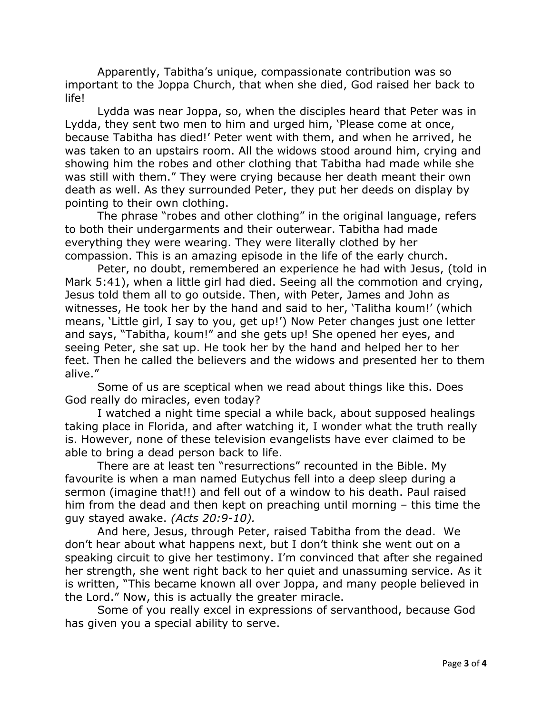Apparently, Tabitha's unique, compassionate contribution was so important to the Joppa Church, that when she died, God raised her back to life!

Lydda was near Joppa, so, when the disciples heard that Peter was in Lydda, they sent two men to him and urged him, 'Please come at once, because Tabitha has died!' Peter went with them, and when he arrived, he was taken to an upstairs room. All the widows stood around him, crying and showing him the robes and other clothing that Tabitha had made while she was still with them." They were crying because her death meant their own death as well. As they surrounded Peter, they put her deeds on display by pointing to their own clothing.

The phrase "robes and other clothing" in the original language, refers to both their undergarments and their outerwear. Tabitha had made everything they were wearing. They were literally clothed by her compassion. This is an amazing episode in the life of the early church.

Peter, no doubt, remembered an experience he had with Jesus, (told in Mark 5:41), when a little girl had died. Seeing all the commotion and crying, Jesus told them all to go outside. Then, with Peter, James and John as witnesses, He took her by the hand and said to her, 'Talitha koum!' (which means, 'Little girl, I say to you, get up!') Now Peter changes just one letter and says, "Tabitha, koum!" and she gets up! She opened her eyes, and seeing Peter, she sat up. He took her by the hand and helped her to her feet. Then he called the believers and the widows and presented her to them alive."

Some of us are sceptical when we read about things like this. Does God really do miracles, even today?

I watched a night time special a while back, about supposed healings taking place in Florida, and after watching it, I wonder what the truth really is. However, none of these television evangelists have ever claimed to be able to bring a dead person back to life.

There are at least ten "resurrections" recounted in the Bible. My favourite is when a man named Eutychus fell into a deep sleep during a sermon (imagine that!!) and fell out of a window to his death. Paul raised him from the dead and then kept on preaching until morning – this time the guy stayed awake. *(Acts 20:9-10).*

And here, Jesus, through Peter, raised Tabitha from the dead. We don't hear about what happens next, but I don't think she went out on a speaking circuit to give her testimony. I'm convinced that after she regained her strength, she went right back to her quiet and unassuming service. As it is written, "This became known all over Joppa, and many people believed in the Lord." Now, this is actually the greater miracle.

Some of you really excel in expressions of servanthood, because God has given you a special ability to serve.